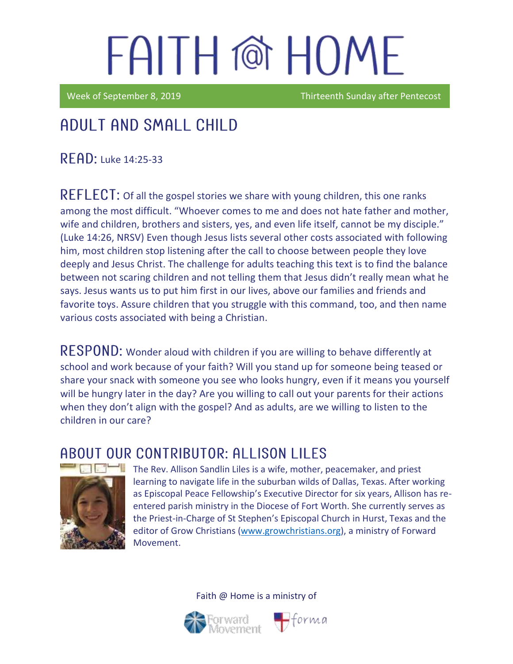Week of September 8, 2019 Thirteenth Sunday after Pentecost

## Adult and Small Child

**READ: Luke 14:25-33** 

REFLECT: Of all the gospel stories we share with young children, this one ranks among the most difficult. "Whoever comes to me and does not hate father and mother, wife and children, brothers and sisters, yes, and even life itself, cannot be my disciple." (Luke 14:26, NRSV) Even though Jesus lists several other costs associated with following him, most children stop listening after the call to choose between people they love deeply and Jesus Christ. The challenge for adults teaching this text is to find the balance between not scaring children and not telling them that Jesus didn't really mean what he says. Jesus wants us to put him first in our lives, above our families and friends and favorite toys. Assure children that you struggle with this command, too, and then name various costs associated with being a Christian.

RESPOND: Wonder aloud with children if you are willing to behave differently at school and work because of your faith? Will you stand up for someone being teased or share your snack with someone you see who looks hungry, even if it means you yourself will be hungry later in the day? Are you willing to call out your parents for their actions when they don't align with the gospel? And as adults, are we willing to listen to the children in our care?

### ABOUT OUR CONTRIBUTOR: ALLISON LILES



The Rev. Allison Sandlin Liles is a wife, mother, peacemaker, and priest learning to navigate life in the suburban wilds of Dallas, Texas. After working as [Episcopal Peace Fellowship](http://epfnational.org/)'s Executive Director for six years, Allison has reentered parish ministry in the Diocese of Fort Worth. She currently serves as the Priest-in-Charge of [St Stephen's Episcopal Church](http://ssechurst.org/) in Hurst, Texas and the editor of [Grow Christians](http://growchristians.org/) [\(www.growchristians.org\)](http://www.growchristians.org/), a ministry of Forward Movement.

 $\bigoplus$ forma

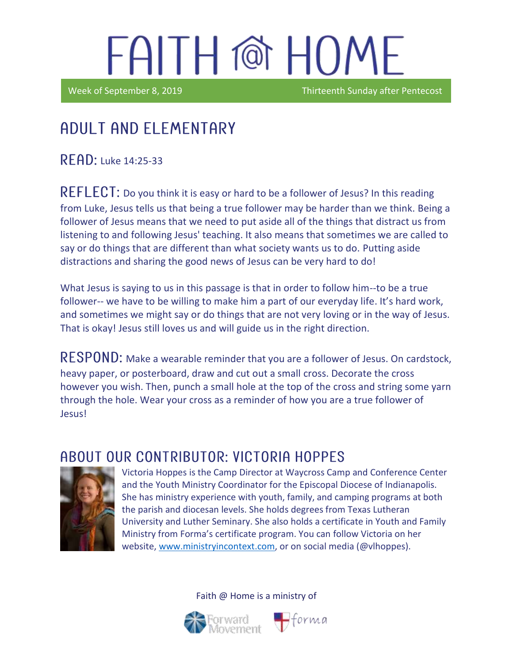Week of September 8, 2019 **Thirteenth Sunday after Pentecost** 

### in the contract of the contract of the contract of the contract of the contract of the contract of the contract of the contract of the contract of the contract of the contract of the contract of the contract of the contrac Adult and elementary

**READ:** Luke 14:25-33

REFLECT: Do you think it is easy or hard to be a follower of Jesus? In this reading from Luke, Jesus tells us that being a true follower may be harder than we think. Being a follower of Jesus means that we need to put aside all of the things that distract us from listening to and following Jesus' teaching. It also means that sometimes we are called to say or do things that are different than what society wants us to do. Putting aside distractions and sharing the good news of Jesus can be very hard to do!

What Jesus is saying to us in this passage is that in order to follow him--to be a true follower-- we have to be willing to make him a part of our everyday life. It's hard work, and sometimes we might say or do things that are not very loving or in the way of Jesus. That is okay! Jesus still loves us and will guide us in the right direction.

RESPOND: Make a wearable reminder that you are a follower of Jesus. On cardstock, heavy paper, or posterboard, draw and cut out a small cross. Decorate the cross however you wish. Then, punch a small hole at the top of the cross and string some yarn through the hole. Wear your cross as a reminder of how you are a true follower of Jesus!

### A BOUT OUR CONTRIBUTOR: VICTORIA HOPPES



Victoria Hoppes is the Camp Director at Waycross Camp and Conference Center and the Youth Ministry Coordinator for the Episcopal Diocese of Indianapolis. She has ministry experience with youth, family, and camping programs at both the parish and diocesan levels. She holds degrees from Texas Lutheran University and Luther Seminary. She also holds a certificate in Youth and Family Ministry from Forma's certificate program. You can follow Victoria on her website, [www.ministryincontext.com,](http://www.ministryincontext.com/) or on social media (@vlhoppes).



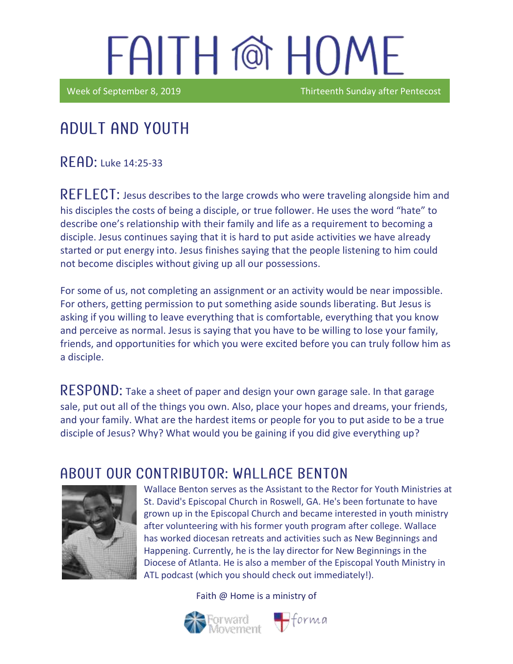Week of September 8, 2019 Thirteenth Sunday after Pentecost

## Adult and youth

READ: Luke 14:25-33

in the contract of the contract of the contract of the contract of the contract of the contract of the contract of the contract of the contract of the contract of the contract of the contract of the contract of the contrac

REFLECT: Jesus describes to the large crowds who were traveling alongside him and his disciples the costs of being a disciple, or true follower. He uses the word "hate" to describe one's relationship with their family and life as a requirement to becoming a disciple. Jesus continues saying that it is hard to put aside activities we have already started or put energy into. Jesus finishes saying that the people listening to him could not become disciples without giving up all our possessions.

For some of us, not completing an assignment or an activity would be near impossible. For others, getting permission to put something aside sounds liberating. But Jesus is asking if you willing to leave everything that is comfortable, everything that you know and perceive as normal. Jesus is saying that you have to be willing to lose your family, friends, and opportunities for which you were excited before you can truly follow him as a disciple.

RESPOND: Take a sheet of paper and design your own garage sale. In that garage sale, put out all of the things you own. Also, place your hopes and dreams, your friends, and your family. What are the hardest items or people for you to put aside to be a true disciple of Jesus? Why? What would you be gaining if you did give everything up?

#### ABOUT OUR CONTRIBUTOR: WALLACE BENTON



Wallace Benton serves as the Assistant to the Rector for Youth Ministries at St. David's Episcopal Church in Roswell, GA. He's been fortunate to have grown up in the Episcopal Church and became interested in youth ministry after volunteering with his former youth program after college. Wallace has worked diocesan retreats and activities such as New Beginnings and Happening. Currently, he is the lay director for New Beginnings in the Diocese of Atlanta. He is also a member of the Episcopal Youth Ministry in ATL podcast (which you should check out immediately!).